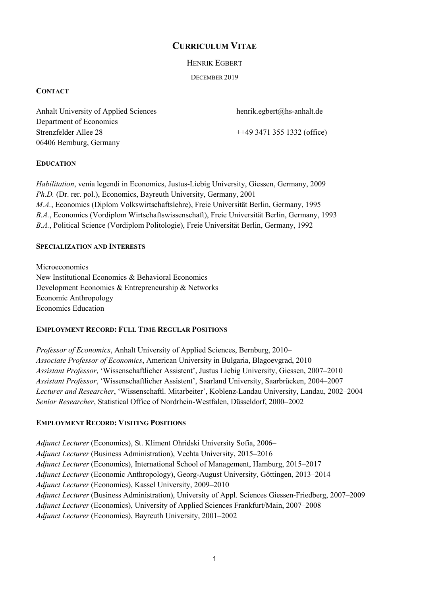# **CURRICULUM VITAE**

HENRIK EGBERT

DECEMBER 2019

# **CONTACT**

Anhalt University of Applied Sciences henrik.egbert@hs-anhalt.de Department of Economics Strenzfelder Allee 28 ++49 3471 355 1332 (office) 06406 Bernburg, Germany

# **EDUCATION**

*Habilitation*, venia legendi in Economics, Justus-Liebig University, Giessen, Germany, 2009 *Ph.D.* (Dr. rer. pol.), Economics, Bayreuth University, Germany, 2001 *M.A.*, Economics (Diplom Volkswirtschaftslehre), Freie Universität Berlin, Germany, 1995 *B.A.*, Economics (Vordiplom Wirtschaftswissenschaft), Freie Universität Berlin, Germany, 1993 *B.A.*, Political Science (Vordiplom Politologie), Freie Universität Berlin, Germany, 1992

# **SPECIALIZATION AND INTERESTS**

Microeconomics New Institutional Economics & Behavioral Economics Development Economics & Entrepreneurship & Networks Economic Anthropology Economics Education

# **EMPLOYMENT RECORD: FULL TIME REGULAR POSITIONS**

*Professor of Economics*, Anhalt University of Applied Sciences, Bernburg, 2010– *Associate Professor of Economics*, American University in Bulgaria, Blagoevgrad, 2010 *Assistant Professor*, 'Wissenschaftlicher Assistent', Justus Liebig University, Giessen, 2007–2010 *Assistant Professor*, 'Wissenschaftlicher Assistent', Saarland University, Saarbrücken, 2004–2007 *Lecturer and Researcher*, 'Wissenschaftl. Mitarbeiter', Koblenz-Landau University, Landau, 2002–2004 *Senior Researcher*, Statistical Office of Nordrhein-Westfalen, Düsseldorf, 2000–2002

# **EMPLOYMENT RECORD: VISITING POSITIONS**

*Adjunct Lecturer* (Economics), St. Kliment Ohridski University Sofia, 2006– *Adjunct Lecturer* (Business Administration), Vechta University, 2015–2016 *Adjunct Lecturer* (Economics), International School of Management, Hamburg, 2015–2017 *Adjunct Lecturer* (Economic Anthropology), Georg-August University, Göttingen, 2013–2014 *Adjunct Lecturer* (Economics), Kassel University, 2009–2010 *Adjunct Lecturer* (Business Administration), University of Appl. Sciences Giessen-Friedberg, 2007–2009 *Adjunct Lecturer* (Economics), University of Applied Sciences Frankfurt/Main, 2007–2008 *Adjunct Lecturer* (Economics), Bayreuth University, 2001–2002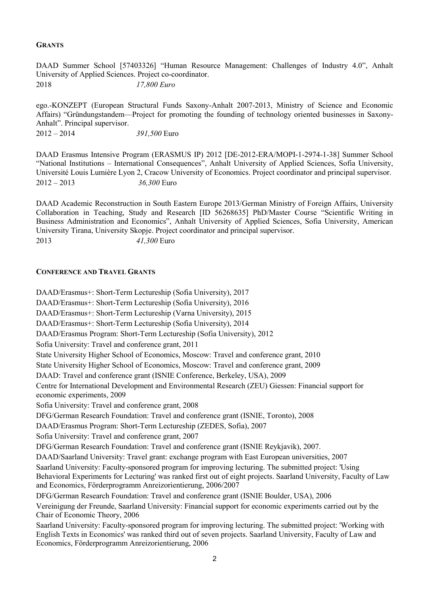# **GRANTS**

DAAD Summer School [57403326] "Human Resource Management: Challenges of Industry 4.0", Anhalt University of Applied Sciences. Project co-coordinator. 2018 *17,800 Euro*

ego.-KONZEPT (European Structural Funds Saxony-Anhalt 2007-2013, Ministry of Science and Economic Affairs) "Gründungstandem—Project for promoting the founding of technology oriented businesses in Saxony-Anhalt". Principal supervisor.

2012 – 2014 *391,500* Euro

DAAD Erasmus Intensive Program (ERASMUS IP) 2012 [DE-2012-ERA/MOPI-1-2974-1-38] Summer School "National Institutions – International Consequences", Anhalt University of Applied Sciences, Sofia University, Université Louis Lumière Lyon 2, Cracow University of Economics. Project coordinator and principal supervisor. 2012 – 2013 *36,300* Euro

DAAD Academic Reconstruction in South Eastern Europe 2013/German Ministry of Foreign Affairs, University Collaboration in Teaching, Study and Research [ID 56268635] PhD/Master Course "Scientific Writing in Business Administration and Economics", Anhalt University of Applied Sciences, Sofia University, American University Tirana, University Skopje. Project coordinator and principal supervisor. 2013 *41,300* Euro

### **CONFERENCE AND TRAVEL GRANTS**

DAAD/Erasmus+: Short-Term Lectureship (Sofia University), 2017 DAAD/Erasmus+: Short-Term Lectureship (Sofia University), 2016 DAAD/Erasmus+: Short-Term Lectureship (Varna University), 2015 DAAD/Erasmus+: Short-Term Lectureship (Sofia University), 2014 DAAD/Erasmus Program: Short-Term Lectureship (Sofia University), 2012 Sofia University: Travel and conference grant, 2011 State University Higher School of Economics, Moscow: Travel and conference grant, 2010 State University Higher School of Economics, Moscow: Travel and conference grant, 2009 DAAD: Travel and conference grant (ISNIE Conference, Berkeley, USA), 2009 Centre for International Development and Environmental Research (ZEU) Giessen: Financial support for economic experiments, 2009 Sofia University: Travel and conference grant, 2008 DFG/German Research Foundation: Travel and conference grant (ISNIE, Toronto), 2008 DAAD/Erasmus Program: Short-Term Lectureship (ZEDES, Sofia), 2007 Sofia University: Travel and conference grant, 2007 DFG/German Research Foundation: Travel and conference grant (ISNIE Reykjavik), 2007. DAAD/Saarland University: Travel grant: exchange program with East European universities, 2007 Saarland University: Faculty-sponsored program for improving lecturing. The submitted project: 'Using Behavioral Experiments for Lecturing' was ranked first out of eight projects. Saarland University, Faculty of Law and Economics, Förderprogramm Anreizorientierung, 2006/2007 DFG/German Research Foundation: Travel and conference grant (ISNIE Boulder, USA), 2006 Vereinigung der Freunde, Saarland University: Financial support for economic experiments carried out by the Chair of Economic Theory, 2006 Saarland University: Faculty-sponsored program for improving lecturing. The submitted project: 'Working with English Texts in Economics' was ranked third out of seven projects. Saarland University, Faculty of Law and Economics, Förderprogramm Anreizorientierung, 2006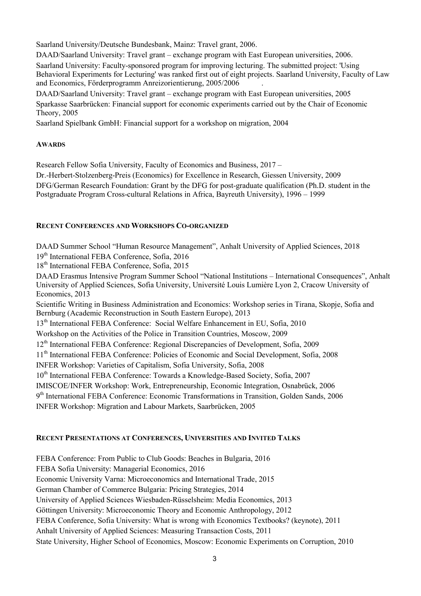Saarland University/Deutsche Bundesbank, Mainz: Travel grant, 2006.

DAAD/Saarland University: Travel grant – exchange program with East European universities, 2006. Saarland University: Faculty-sponsored program for improving lecturing. The submitted project: 'Using Behavioral Experiments for Lecturing' was ranked first out of eight projects. Saarland University, Faculty of Law and Economics, Förderprogramm Anreizorientierung, 2005/2006 .

DAAD/Saarland University: Travel grant – exchange program with East European universities, 2005 Sparkasse Saarbrücken: Financial support for economic experiments carried out by the Chair of Economic Theory, 2005

Saarland Spielbank GmbH: Financial support for a workshop on migration, 2004

# **AWARDS**

Research Fellow Sofia University, Faculty of Economics and Business, 2017 –

Dr.-Herbert-Stolzenberg-Preis (Economics) for Excellence in Research, Giessen University, 2009 DFG/German Research Foundation: Grant by the DFG for post-graduate qualification (Ph.D. student in the

Postgraduate Program Cross-cultural Relations in Africa, Bayreuth University), 1996 – 1999

# **RECENT CONFERENCES AND WORKSHOPS CO-ORGANIZED**

DAAD Summer School "Human Resource Management", Anhalt University of Applied Sciences, 2018

19<sup>th</sup> International FEBA Conference, Sofia, 2016

18<sup>th</sup> International FEBA Conference, Sofia, 2015

DAAD Erasmus Intensive Program Summer School "National Institutions – International Consequences", Anhalt University of Applied Sciences, Sofia University, Université Louis Lumière Lyon 2, Cracow University of Economics, 2013

Scientific Writing in Business Administration and Economics: Workshop series in Tirana, Skopje, Sofia and Bernburg (Academic Reconstruction in South Eastern Europe), 2013

13<sup>th</sup> International FEBA Conference: Social Welfare Enhancement in EU, Sofia, 2010

Workshop on the Activities of the Police in Transition Countries, Moscow, 2009

12th International FEBA Conference: Regional Discrepancies of Development, Sofia, 2009

11<sup>th</sup> International FEBA Conference: Policies of Economic and Social Development, Sofia, 2008

INFER Workshop: Varieties of Capitalism, Sofia University, Sofia, 2008

10<sup>th</sup> International FEBA Conference: Towards a Knowledge-Based Society, Sofia, 2007

IMISCOE/INFER Workshop: Work, Entrepreneurship, Economic Integration, Osnabrück, 2006

9<sup>th</sup> International FEBA Conference: Economic Transformations in Transition, Golden Sands, 2006

INFER Workshop: Migration and Labour Markets, Saarbrücken, 2005

# **RECENT PRESENTATIONS AT CONFERENCES, UNIVERSITIES AND INVITED TALKS**

FEBA Conference: From Public to Club Goods: Beaches in Bulgaria, 2016 FEBA Sofia University: Managerial Economics, 2016 Economic University Varna: Microeconomics and International Trade, 2015 German Chamber of Commerce Bulgaria: Pricing Strategies, 2014 University of Applied Sciences Wiesbaden-Rüsselsheim: Media Economics, 2013 Göttingen University: Microeconomic Theory and Economic Anthropology, 2012 FEBA Conference, Sofia University: What is wrong with Economics Textbooks? (keynote), 2011 Anhalt University of Applied Sciences: Measuring Transaction Costs, 2011 State University, Higher School of Economics, Moscow: Economic Experiments on Corruption, 2010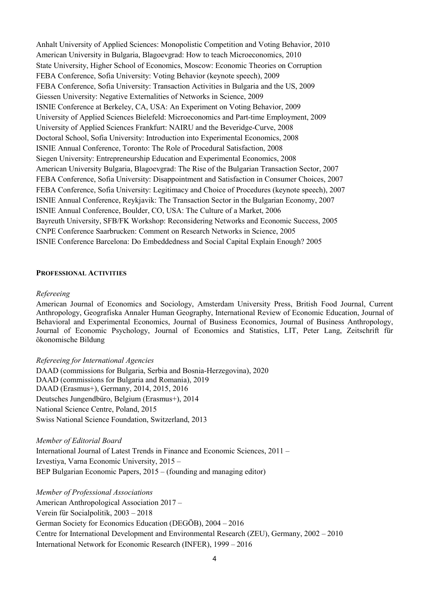Anhalt University of Applied Sciences: Monopolistic Competition and Voting Behavior, 2010 American University in Bulgaria, Blagoevgrad: How to teach Microeconomics, 2010 State University, Higher School of Economics, Moscow: Economic Theories on Corruption FEBA Conference, Sofia University: Voting Behavior (keynote speech), 2009 FEBA Conference, Sofia University: Transaction Activities in Bulgaria and the US, 2009 Giessen University: Negative Externalities of Networks in Science, 2009 ISNIE Conference at Berkeley, CA, USA: An Experiment on Voting Behavior, 2009 University of Applied Sciences Bielefeld: Microeconomics and Part-time Employment, 2009 University of Applied Sciences Frankfurt: NAIRU and the Beveridge-Curve, 2008 Doctoral School, Sofia University: Introduction into Experimental Economics, 2008 ISNIE Annual Conference, Toronto: The Role of Procedural Satisfaction, 2008 Siegen University: Entrepreneurship Education and Experimental Economics, 2008 American University Bulgaria, Blagoevgrad: The Rise of the Bulgarian Transaction Sector, 2007 FEBA Conference, Sofia University: Disappointment and Satisfaction in Consumer Choices, 2007 FEBA Conference, Sofia University: Legitimacy and Choice of Procedures (keynote speech), 2007 ISNIE Annual Conference, Reykjavik: The Transaction Sector in the Bulgarian Economy, 2007 ISNIE Annual Conference, Boulder, CO, USA: The Culture of a Market, 2006 Bayreuth University, SFB/FK Workshop: Reconsidering Networks and Economic Success, 2005 CNPE Conference Saarbrucken: Comment on Research Networks in Science, 2005 ISNIE Conference Barcelona: Do Embeddedness and Social Capital Explain Enough? 2005

#### **PROFESSIONAL ACTIVITIES**

#### *Refereeing*

American Journal of Economics and Sociology, Amsterdam University Press, British Food Journal, Current Anthropology, Geografiska Annaler Human Geography, International Review of Economic Education, Journal of Behavioral and Experimental Economics, Journal of Business Economics, Journal of Business Anthropology, Journal of Economic Psychology, Journal of Economics and Statistics, LIT, Peter Lang, Zeitschrift für ökonomische Bildung

### *Refereeing for International Agencies*

DAAD (commissions for Bulgaria, Serbia and Bosnia-Herzegovina), 2020 DAAD (commissions for Bulgaria and Romania), 2019 DAAD (Erasmus+), Germany, 2014, 2015, 2016 Deutsches Jungendbüro, Belgium (Erasmus+), 2014 National Science Centre, Poland, 2015 Swiss National Science Foundation, Switzerland, 2013

*Member of Editorial Board* 

International Journal of Latest Trends in Finance and Economic Sciences, 2011 – Izvestiya, Varna Economic University, 2015 – BEP Bulgarian Economic Papers, 2015 – (founding and managing editor)

*Member of Professional Associations*  American Anthropological Association 2017 – Verein für Socialpolitik, 2003 – 2018 German Society for Economics Education (DEGÖB), 2004 – 2016 Centre for International Development and Environmental Research (ZEU), Germany, 2002 – 2010 International Network for Economic Research (INFER), 1999 – 2016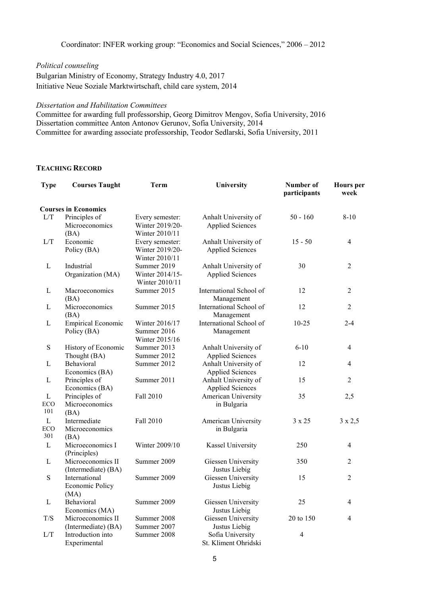Coordinator: INFER working group: "Economics and Social Sciences," 2006 – 2012

*Political counseling* 

Bulgarian Ministry of Economy, Strategy Industry 4.0, 2017 Initiative Neue Soziale Marktwirtschaft, child care system, 2014

### *Dissertation and Habilitation Committees*

Committee for awarding full professorship, Georg Dimitrov Mengov, Sofia University, 2016 Dissertation committee Anton Antonov Gerunov, Sofia University, 2014 Committee for awarding associate professorship, Teodor Sedlarski, Sofia University, 2011

### **TEACHING RECORD**

| <b>Type</b>  | <b>Courses Taught</b>               | Term                          | University                                      | Number of<br>participants | <b>Hours</b> per<br>week |
|--------------|-------------------------------------|-------------------------------|-------------------------------------------------|---------------------------|--------------------------|
|              | <b>Courses in Economics</b>         |                               |                                                 |                           |                          |
| L/T          | Principles of                       | Every semester:               | Anhalt University of                            | $50 - 160$                | $8 - 10$                 |
|              | Microeconomics                      | Winter 2019/20-               | <b>Applied Sciences</b>                         |                           |                          |
|              | (BA)                                | Winter 2010/11                |                                                 |                           |                          |
| L/T          | Economic                            | Every semester:               | Anhalt University of                            | $15 - 50$                 | $\overline{4}$           |
|              | Policy (BA)                         | Winter 2019/20-               | <b>Applied Sciences</b>                         |                           |                          |
|              |                                     | Winter 2010/11                |                                                 |                           |                          |
| L            | Industrial                          | Summer 2019                   | Anhalt University of                            | 30                        | $\overline{2}$           |
|              | Organization (MA)                   | Winter 2014/15-               | <b>Applied Sciences</b>                         |                           |                          |
|              |                                     | Winter 2010/11                |                                                 |                           |                          |
| $\mathbf{L}$ | Macroeconomics                      | Summer 2015                   | International School of                         | 12                        | $\overline{2}$           |
|              | (BA)                                |                               | Management                                      |                           |                          |
| L            | Microeconomics                      | Summer 2015                   | International School of                         | 12                        | $\overline{2}$           |
|              | (BA)                                |                               | Management                                      |                           |                          |
| L            | <b>Empirical Economic</b>           | Winter 2016/17                | International School of                         | $10 - 25$                 | $2 - 4$                  |
|              | Policy (BA)                         | Summer 2016                   | Management                                      |                           |                          |
| ${\bf S}$    |                                     | Winter 2015/16<br>Summer 2013 |                                                 | $6 - 10$                  | $\overline{4}$           |
|              | History of Economic<br>Thought (BA) | Summer 2012                   | Anhalt University of                            |                           |                          |
| $\mathbf{L}$ | Behavioral                          | Summer 2012                   | <b>Applied Sciences</b><br>Anhalt University of | 12                        | $\overline{4}$           |
|              | Economics (BA)                      |                               | <b>Applied Sciences</b>                         |                           |                          |
| $\mathbf{L}$ | Principles of                       | Summer 2011                   | Anhalt University of                            | 15                        | $\overline{2}$           |
|              | Economics (BA)                      |                               | <b>Applied Sciences</b>                         |                           |                          |
| $\mathbf{L}$ | Principles of                       | Fall 2010                     | American University                             | 35                        | 2,5                      |
| ECO          | Microeconomics                      |                               | in Bulgaria                                     |                           |                          |
| 101          | (BA)                                |                               |                                                 |                           |                          |
| $\mathbf L$  | Intermediate                        | Fall 2010                     | American University                             | 3 x 25                    | $3 \times 2,5$           |
| ECO          | Microeconomics                      |                               | in Bulgaria                                     |                           |                          |
| 301          | (BA)                                |                               |                                                 |                           |                          |
| L            | Microeconomics I                    | Winter 2009/10                | Kassel University                               | 250                       | $\overline{4}$           |
|              | (Principles)                        |                               |                                                 |                           |                          |
| $\mathbf{L}$ | Microeconomics II                   | Summer 2009                   | Giessen University                              | 350                       | 2                        |
|              | (Intermediate) (BA)                 |                               | Justus Liebig                                   |                           |                          |
| S            | International                       | Summer 2009                   | Giessen University                              | 15                        | $\overline{2}$           |
|              | Economic Policy                     |                               | Justus Liebig                                   |                           |                          |
|              | (MA)                                |                               |                                                 |                           |                          |
| $\mathbf{L}$ | Behavioral                          | Summer 2009                   | Giessen University                              | 25                        | $\overline{4}$           |
|              | Economics (MA)                      |                               | Justus Liebig                                   |                           |                          |
| T/S          | Microeconomics II                   | Summer 2008                   | Giessen University                              | 20 to 150                 | $\overline{4}$           |
|              | (Intermediate) (BA)                 | Summer 2007                   | Justus Liebig                                   |                           |                          |
| L/T          | Introduction into                   | Summer 2008                   | Sofia University                                | 4                         |                          |
|              | Experimental                        |                               | St. Kliment Ohridski                            |                           |                          |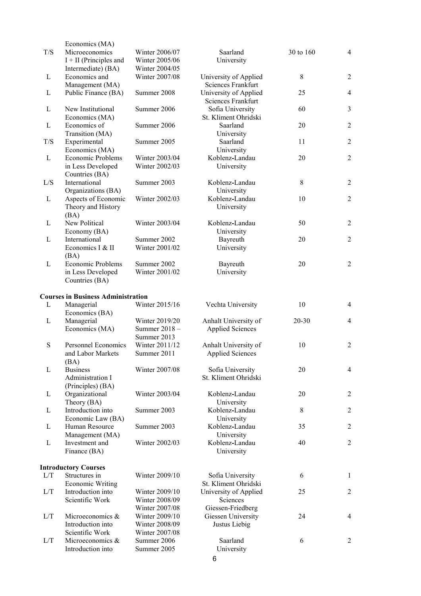|     | Economics (MA)                               |                |                                          |           |                  |
|-----|----------------------------------------------|----------------|------------------------------------------|-----------|------------------|
| T/S | Microeconomics                               | Winter 2006/07 | Saarland                                 | 30 to 160 | $\overline{4}$   |
|     | $I + II$ (Principles and                     | Winter 2005/06 | University                               |           |                  |
|     | Intermediate) (BA)                           | Winter 2004/05 |                                          |           |                  |
| L   | Economics and                                | Winter 2007/08 | University of Applied                    | 8         | $\overline{2}$   |
|     | Management (MA)                              |                | <b>Sciences Frankfurt</b>                |           |                  |
| L   | Public Finance (BA)                          | Summer 2008    | University of Applied                    | 25        | $\overline{4}$   |
|     |                                              |                | Sciences Frankfurt                       |           |                  |
| L   | New Institutional                            | Summer 2006    | Sofia University                         | 60        | 3                |
|     | Economics (MA)                               |                | St. Kliment Ohridski                     |           |                  |
| L   | Economics of                                 | Summer 2006    | Saarland                                 | 20        | $\overline{2}$   |
|     | Transition (MA)                              |                | University                               |           |                  |
| T/S | Experimental                                 | Summer 2005    | Saarland                                 | 11        | $\overline{2}$   |
|     | Economics (MA)                               |                | University                               |           |                  |
| L   | Economic Problems                            | Winter 2003/04 | Koblenz-Landau                           | 20        | $\overline{2}$   |
|     | in Less Developed                            | Winter 2002/03 | University                               |           |                  |
|     | Countries (BA)                               |                |                                          |           |                  |
| L/S | International                                | Summer 2003    | Koblenz-Landau                           | 8         | $\overline{2}$   |
|     | Organizations (BA)                           |                | University                               |           |                  |
| L   | Aspects of Economic                          | Winter 2002/03 | Koblenz-Landau                           | 10        | $\overline{2}$   |
|     | Theory and History                           |                | University                               |           |                  |
|     | (BA)                                         |                |                                          |           |                  |
| L   | New Political                                | Winter 2003/04 | Koblenz-Landau                           | 50        | $\overline{2}$   |
|     | Economy (BA)                                 |                | University                               |           |                  |
| L   | International                                | Summer 2002    | Bayreuth                                 | 20        | $\overline{2}$   |
|     | Economics I & II                             | Winter 2001/02 | University                               |           |                  |
|     | (BA)                                         |                |                                          |           |                  |
| L   | Economic Problems                            | Summer 2002    | Bayreuth                                 | 20        | $\overline{2}$   |
|     | in Less Developed                            | Winter 2001/02 | University                               |           |                  |
|     | Countries (BA)                               |                |                                          |           |                  |
|     |                                              |                |                                          |           |                  |
|     | <b>Courses in Business Administration</b>    |                |                                          |           |                  |
| L   | Managerial                                   | Winter 2015/16 | Vechta University                        | 10        | $\overline{4}$   |
|     | Economics (BA)                               |                |                                          |           |                  |
| L   | Managerial                                   | Winter 2019/20 | Anhalt University of                     | 20-30     | $\overline{4}$   |
|     | Economics (MA)                               | Summer 2018-   | <b>Applied Sciences</b>                  |           |                  |
|     |                                              | Summer 2013    |                                          |           |                  |
| S   | <b>Personnel Economics</b>                   | Winter 2011/12 | Anhalt University of                     | 10        | $\overline{2}$   |
|     | and Labor Markets                            | Summer 2011    | <b>Applied Sciences</b>                  |           |                  |
|     | (BA)                                         |                |                                          |           |                  |
| L   | <b>Business</b>                              | Winter 2007/08 | Sofia University                         | 20        | 4                |
|     | Administration I                             |                | St. Kliment Ohridski                     |           |                  |
|     | (Principles) (BA)                            |                |                                          |           |                  |
| L   | Organizational                               | Winter 2003/04 | Koblenz-Landau                           | 20        | $\overline{2}$   |
|     | Theory (BA)                                  |                | University                               |           |                  |
| L   | Introduction into                            | Summer 2003    | Koblenz-Landau                           | 8         | $\overline{2}$   |
|     | Economic Law (BA)                            |                | University                               |           |                  |
| L   | Human Resource                               | Summer 2003    | Koblenz-Landau                           | 35        | $\boldsymbol{2}$ |
|     | Management (MA)                              |                | University                               |           |                  |
| L   | Investment and                               | Winter 2002/03 | Koblenz-Landau                           | 40        | 2                |
|     | Finance (BA)                                 |                | University                               |           |                  |
|     |                                              |                |                                          |           |                  |
|     |                                              |                |                                          |           |                  |
| L/T | <b>Introductory Courses</b><br>Structures in | Winter 2009/10 |                                          | 6         | $\mathbf{1}$     |
|     |                                              |                | Sofia University<br>St. Kliment Ohridski |           |                  |
|     | Economic Writing<br>Introduction into        | Winter 2009/10 |                                          | 25        | 2                |
| L/T |                                              |                | University of Applied                    |           |                  |
|     | Scientific Work                              | Winter 2008/09 | Sciences                                 |           |                  |
|     |                                              | Winter 2007/08 | Giessen-Friedberg                        |           |                  |
| L/T | Microeconomics &                             | Winter 2009/10 | Giessen University                       | 24        | $\overline{4}$   |
|     | Introduction into                            | Winter 2008/09 | Justus Liebig                            |           |                  |
|     | Scientific Work                              | Winter 2007/08 |                                          |           |                  |
| L/T | Microeconomics &                             | Summer 2006    | Saarland                                 | 6         | 2                |
|     | Introduction into                            | Summer 2005    | University                               |           |                  |